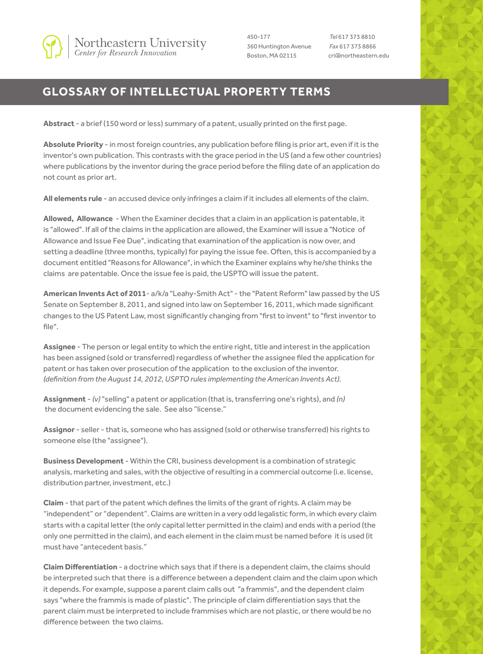

450-177 360 Huntington Avenue Boston, MA 02115

*Tel* 617 373 8810 *Fax* 617 373 8866 cri@northeastern.edu

## **GLOSSARY OF INTELLECTUAL PROPERTY TERMS**

**Abstract** - a brief (150 word or less) summary of a patent, usually printed on the first page.

**Absolute Priority** - in most foreign countries, any publication before filing is prior art, even if it is the inventor's own publication. This contrasts with the grace period in the US (and a few other countries) where publications by the inventor during the grace period before the filing date of an application do not count as prior art.

**All elements rule** - an accused device only infringes a claim if it includes all elements of the claim.

**Allowed, Allowance** - When the Examiner decides that a claim in an application is patentable, it is "allowed". If all of the claims in the application are allowed, the Examiner will issue a "Notice of Allowance and Issue Fee Due", indicating that examination of the application is now over, and setting a deadline (three months, typically) for paying the issue fee. Often, this is accompanied by a document entitled "Reasons for Allowance", in which the Examiner explains why he/she thinks the claims are patentable. Once the issue fee is paid, the USPTO will issue the patent.

**American Invents Act of 2011**- a/k/a "Leahy-Smith Act" - the "Patent Reform" law passed by the US Senate on September 8, 2011, and signed into law on September 16, 2011, which made significant changes to the US Patent Law, most significantly changing from "first to invent" to "first inventor to file".

**Assignee** - The person or legal entity to which the entire right, title and interest in the application has been assigned (sold or transferred) regardless of whether the assignee filed the application for patent or has taken over prosecution of the application to the exclusion of the inventor. *(definition from the August 14, 2012, USPTO rules implementing the American Invents Act).*

**Assignment** - *(v)* "selling" a patent or application (that is, transferring one's rights), and *(n)* the document evidencing the sale. See also "license."

**Assignor** - seller - that is, someone who has assigned (sold or otherwise transferred) his rights to someone else (the "assignee").

**Business Development** - Within the CRI, business development is a combination of strategic analysis, marketing and sales, with the objective of resulting in a commercial outcome (i.e. license, distribution partner, investment, etc.)

**Claim** - that part of the patent which defines the limits of the grant of rights. A claim may be "independent" or "dependent". Claims are written in a very odd legalistic form, in which every claim starts with a capital letter (the only capital letter permitted in the claim) and ends with a period (the only one permitted in the claim), and each element in the claim must be named before it is used (it must have "antecedent basis."

**Claim Differentiation** - a doctrine which says that if there is a dependent claim, the claims should be interpreted such that there is a difference between a dependent claim and the claim upon which it depends. For example, suppose a parent claim calls out "a frammis", and the dependent claim says "where the frammis is made of plastic". The principle of claim differentiation says that the parent claim must be interpreted to include frammises which are not plastic, or there would be no difference between the two claims.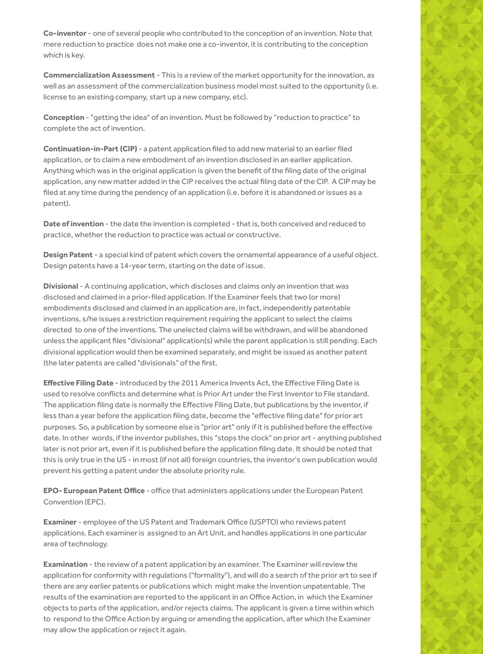**Co-inventor** - one of several people who contributed to the conception of an invention. Note that mere reduction to practice does not make one a co-inventor, it is contributing to the conception which is key.

**Commercialization Assessment** - This is a review of the market opportunity for the innovation, as well as an assessment of the commercialization business model most suited to the opportunity (i.e. license to an existing company, start up a new company, etc).

**Conception** - "getting the idea" of an invention. Must be followed by "reduction to practice" to complete the act of invention.

**Continuation-in-Part (CIP)** - a patent application filed to add new material to an earlier filed application, or to claim a new embodiment of an invention disclosed in an earlier application. Anything which was in the original application is given the benefit of the filing date of the original application, any new matter added in the CIP receives the actual filing date of the CIP. A CIP may be filed at any time during the pendency of an application (i.e. before it is abandoned or issues as a patent).

**Date of invention** - the date the invention is completed - that is, both conceived and reduced to practice, whether the reduction to practice was actual or constructive.

**Design Patent** - a special kind of patent which covers the ornamental appearance of a useful object. Design patents have a 14-year term, starting on the date of issue.

**Divisional** - A continuing application, which discloses and claims only an invention that was disclosed and claimed in a prior-filed application. If the Examiner feels that two (or more) embodiments disclosed and claimed in an application are, in fact, independently patentable inventions, s/he issues a restriction requirement requiring the applicant to select the claims directed to one of the inventions. The unelected claims will be withdrawn, and will be abandoned unless the applicant files "divisional" application(s) while the parent application is still pending. Each divisional application would then be examined separately, and might be issued as another patent (the later patents are called "divisionals" of the first.

**Effective Filing Date** - introduced by the 2011 America Invents Act, the Effective Filing Date is used to resolve conflicts and determine what is Prior Art under the First Inventor to File standard. The application filing date is normally the Effective Filing Date, but publications by the inventor, if less than a year before the application filing date, become the "effective filing date" for prior art purposes. So, a publication by someone else is "prior art" only if it is published before the effective date. In other words, if the inventor publishes, this "stops the clock" on prior art - anything published later is not prior art, even if it is published before the application filing date. It should be noted that this is only true in the US - in most (if not all) foreign countries, the inventor's own publication would prevent his getting a patent under the absolute priority rule.

**EPO- European Patent Office** - office that administers applications under the European Patent Convention (EPC).

**Examiner** - employee of the US Patent and Trademark Office (USPTO) who reviews patent applications. Each examiner is assigned to an Art Unit, and handles applications in one particular area of technology.

**Examination** - the review of a patent application by an examiner. The Examiner will review the application for conformity with regulations ("formality"), and will do a search of the prior art to see if there are any earlier patents or publications which might make the invention unpatentable. The results of the examination are reported to the applicant in an Office Action, in which the Examiner objects to parts of the application, and/or rejects claims. The applicant is given a time within which to respond to the Office Action by arguing or amending the application, after which the Examiner may allow the application or reject it again.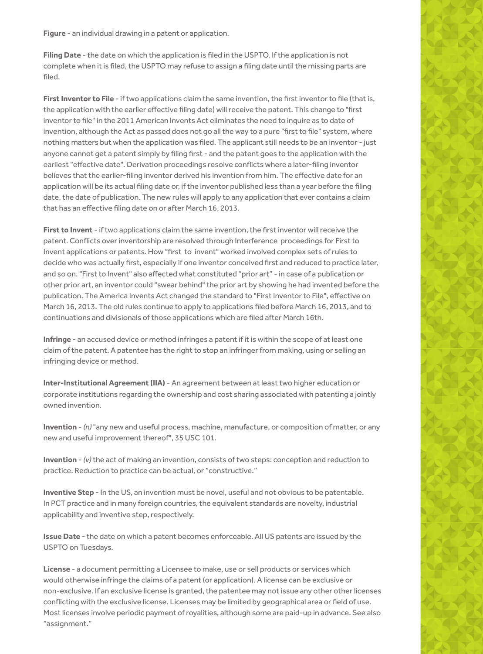**Figure** - an individual drawing in a patent or application.

**Filing Date** - the date on which the application is filed in the USPTO. If the application is not complete when it is filed, the USPTO may refuse to assign a filing date until the missing parts are filed.

**First Inventor to File** - if two applications claim the same invention, the first inventor to file (that is, the application with the earlier effective filing date) will receive the patent. This change to "first inventor to file" in the 2011 American Invents Act eliminates the need to inquire as to date of invention, although the Act as passed does not go all the way to a pure "first to file" system, where nothing matters but when the application was filed. The applicant still needs to be an inventor - just anyone cannot get a patent simply by filing first - and the patent goes to the application with the earliest "effective date". Derivation proceedings resolve conflicts where a later-filing inventor believes that the earlier-filing inventor derived his invention from him. The effective date for an application will be its actual filing date or, if the inventor published less than a year before the filing date, the date of publication. The new rules will apply to any application that ever contains a claim that has an effective filing date on or after March 16, 2013.

**First to Invent** - if two applications claim the same invention, the first inventor will receive the patent. Conflicts over inventorship are resolved through Interference proceedings for First to Invent applications or patents. How "first to invent" worked involved complex sets of rules to decide who was actually first, especially if one inventor conceived first and reduced to practice later, and so on. "First to Invent" also affected what constituted "prior art" - in case of a publication or other prior art, an inventor could "swear behind" the prior art by showing he had invented before the publication. The America Invents Act changed the standard to "First Inventor to File", effective on March 16, 2013. The old rules continue to apply to applications filed before March 16, 2013, and to continuations and divisionals of those applications which are filed after March 16th.

**Infringe** - an accused device or method infringes a patent if it is within the scope of at least one claim of the patent. A patentee has the right to stop an infringer from making, using or selling an infringing device or method.

**Inter-Institutional Agreement (IIA)** - An agreement between at least two higher education or corporate institutions regarding the ownership and cost sharing associated with patenting a jointly owned invention.

**Invention** - *(n)* "any new and useful process, machine, manufacture, or composition of matter, or any new and useful improvement thereof", 35 USC 101.

**Invention** - *(v)* the act of making an invention, consists of two steps: conception and reduction to practice. Reduction to practice can be actual, or "constructive."

**Inventive Step** - In the US, an invention must be novel, useful and not obvious to be patentable. In PCT practice and in many foreign countries, the equivalent standards are novelty, industrial applicability and inventive step, respectively.

**Issue Date** - the date on which a patent becomes enforceable. All US patents are issued by the USPTO on Tuesdays.

**License** - a document permitting a Licensee to make, use or sell products or services which would otherwise infringe the claims of a patent (or application). A license can be exclusive or non-exclusive. If an exclusive license is granted, the patentee may not issue any other other licenses conflicting with the exclusive license. Licenses may be limited by geographical area or field of use. Most licenses involve periodic payment of royalities, although some are paid-up in advance. See also "assignment."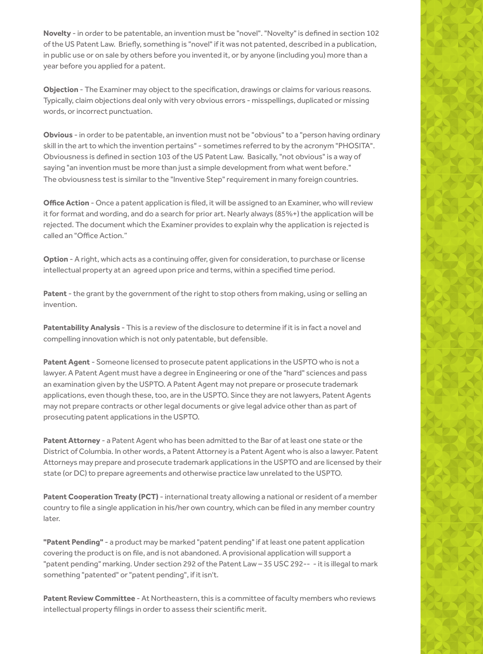**Novelty** - in order to be patentable, an invention must be "novel". "Novelty" is defined in section 102 of the US Patent Law. Briefly, something is "novel" if it was not patented, described in a publication, in public use or on sale by others before you invented it, or by anyone (including you) more than a year before you applied for a patent.

**Objection** - The Examiner may object to the specification, drawings or claims for various reasons. Typically, claim objections deal only with very obvious errors - misspellings, duplicated or missing words, or incorrect punctuation.

**Obvious** - in order to be patentable, an invention must not be "obvious" to a "person having ordinary skill in the art to which the invention pertains" - sometimes referred to by the acronym "PHOSITA". Obviousness is defined in section 103 of the US Patent Law. Basically, "not obvious" is a way of saying "an invention must be more than just a simple development from what went before." The obviousness test is similar to the "Inventive Step" requirement in many foreign countries.

**Office Action** - Once a patent application is filed, it will be assigned to an Examiner, who will review it for format and wording, and do a search for prior art. Nearly always (85%+) the application will be rejected. The document which the Examiner provides to explain why the application is rejected is called an "Office Action."

**Option** - A right, which acts as a continuing offer, given for consideration, to purchase or license intellectual property at an agreed upon price and terms, within a specified time period.

**Patent** - the grant by the government of the right to stop others from making, using or selling an invention.

**Patentability Analysis** - This is a review of the disclosure to determine if it is in fact a novel and compelling innovation which is not only patentable, but defensible.

**Patent Agent** - Someone licensed to prosecute patent applications in the USPTO who is not a lawyer. A Patent Agent must have a degree in Engineering or one of the "hard" sciences and pass an examination given by the USPTO. A Patent Agent may not prepare or prosecute trademark applications, even though these, too, are in the USPTO. Since they are not lawyers, Patent Agents may not prepare contracts or other legal documents or give legal advice other than as part of prosecuting patent applications in the USPTO.

**Patent Attorney** - a Patent Agent who has been admitted to the Bar of at least one state or the District of Columbia. In other words, a Patent Attorney is a Patent Agent who is also a lawyer. Patent Attorneys may prepare and prosecute trademark applications in the USPTO and are licensed by their state (or DC) to prepare agreements and otherwise practice law unrelated to the USPTO.

Patent Cooperation Treaty (PCT) - international treaty allowing a national or resident of a member country to file a single application in his/her own country, which can be filed in any member country later.

**"Patent Pending"** - a product may be marked "patent pending" if at least one patent application covering the product is on file, and is not abandoned. A provisional application will support a "patent pending" marking. Under section 292 of the Patent Law – 35 USC 292-- - it is illegal to mark something "patented" or "patent pending", if it isn't.

**Patent Review Committee** - At Northeastern, this is a committee of faculty members who reviews intellectual property filings in order to assess their scientific merit.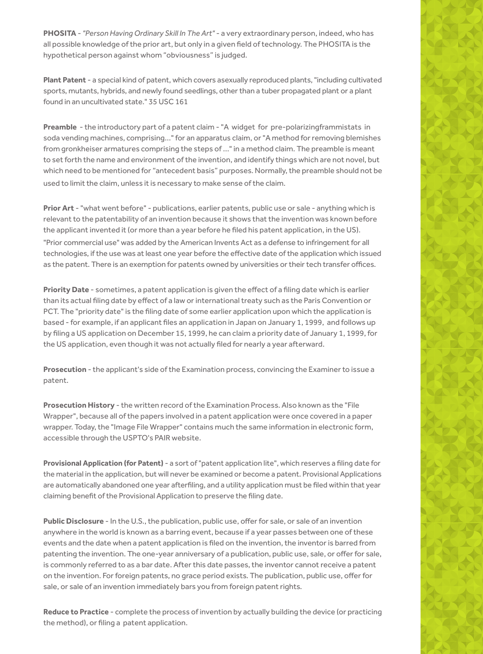**PHOSITA** - *"Person Having Ordinary Skill In The Art"* - a very extraordinary person, indeed, who has all possible knowledge of the prior art, but only in a given field of technology. The PHOSITA is the hypothetical person against whom "obviousness" is judged.

**Plant Patent** - a special kind of patent, which covers asexually reproduced plants, "including cultivated sports, mutants, hybrids, and newly found seedlings, other than a tuber propagated plant or a plant found in an uncultivated state." 35 USC 161

**Preamble** - the introductory part of a patent claim - "A widget for pre-polarizingframmistats in soda vending machines, comprising..." for an apparatus claim, or "A method for removing blemishes from gronkheiser armatures comprising the steps of ..." in a method claim. The preamble is meant to set forth the name and environment of the invention, and identify things which are not novel, but which need to be mentioned for "antecedent basis" purposes. Normally, the preamble should not be used to limit the claim, unless it is necessary to make sense of the claim.

**Prior Art** - "what went before" - publications, earlier patents, public use or sale - anything which is relevant to the patentability of an invention because it shows that the invention was known before the applicant invented it (or more than a year before he filed his patent application, in the US). "Prior commercial use" was added by the American Invents Act as a defense to infringement for all technologies, if the use was at least one year before the effective date of the application which issued as the patent. There is an exemption for patents owned by universities or their tech transfer offices.

**Priority Date** - sometimes, a patent application is given the effect of a filing date which is earlier than its actual filing date by effect of a law or international treaty such as the Paris Convention or PCT. The "priority date" is the filing date of some earlier application upon which the application is based - for example, if an applicant files an application in Japan on January 1, 1999, and follows up by filing a US application on December 15, 1999, he can claim a priority date of January 1, 1999, for the US application, even though it was not actually filed for nearly a year afterward.

**Prosecution** - the applicant's side of the Examination process, convincing the Examiner to issue a patent.

**Prosecution History** - the written record of the Examination Process. Also known as the "File Wrapper", because all of the papers involved in a patent application were once covered in a paper wrapper. Today, the "Image File Wrapper" contains much the same information in electronic form, accessible through the USPTO's PAIR website.

**Provisional Application (for Patent)** - a sort of "patent application lite", which reserves a filing date for the material in the application, but will never be examined or become a patent. Provisional Applications are automatically abandoned one year afterfiling, and a utility application must be filed within that year claiming benefit of the Provisional Application to preserve the filing date.

**Public Disclosure** - In the U.S., the publication, public use, offer for sale, or sale of an invention anywhere in the world is known as a barring event, because if a year passes between one of these events and the date when a patent application is filed on the invention, the inventor is barred from patenting the invention. The one-year anniversary of a publication, public use, sale, or offer for sale, is commonly referred to as a bar date. After this date passes, the inventor cannot receive a patent on the invention. For foreign patents, no grace period exists. The publication, public use, offer for sale, or sale of an invention immediately bars you from foreign patent rights.

**Reduce to Practice** - complete the process of invention by actually building the device (or practicing the method), or filing a patent application.